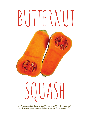# BUTTERNUT



*Produced by the Little Burgundy Coalition Health and Food Committee and the Osez la santé team at the CIUSSS du Centre-Sud-de-l'Ile-de-Montréal*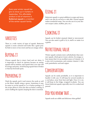Every year winter squash begins to show up in markets in September. This affordable product is full of vitamine A. **Butternut squash** is a member of the winter squash family.

#### **varieties**

There is a wide variety of types of squash. Butternut squash is cream coloured and looks like a giant pear. Its flesh is more or less sweet and has an orange colour.

## **Buying it**

Choose squash that is intact, hard and not shiny. It is important to check its ripeness because an unripe squash will be tasteless, and squash that is too ripe will be stringy and pasty. Avoid buying squash that is broken or that has brownish spots.

## **Preparing it**

Wash the squash, peel it and remove the seeds as well as the fibres, ideally using a spoon. Sometimes it may be easier to cut the squash in 2 or 4 before peeling it. If the recipe allows it, leave the skin on before cooking. If you're stuffing the squash, keeping the skin is essential.

# **Using it**

Butternut squash is a great addition to soups and stews, and it can also be served as a side dish. Pureed squash makes wonderful soups. You can also use it in your dessert recipes (cakes, muffins, pies, etc.)

# **Cooking it**

Squash can be boiled, steamed, baked or microwaved. You can also sauté it, grill it, fry it, stuff it or make it as a gratin.

## **Nutritional value**

Winter squash contains more carbohydrates than summer squash, which gives it more calories. Its orange colour means that it is an excellent source of vitamin A. It is also rich in potassium, and contains vitamin C, folic acid, pantothenic acid and copper.

#### **Conservation**

Squash can be easily perishable, so it is important to handle it with care. It will keep for several months in a cool place, away from heat and light. Once it is cut, it will keep in the fridge, wrapped in plastic. You can freeze butternut squash, especially once it is cooked and pureed.

#### **Did you know that …**

Squash seeds are edible and delicious when grilled!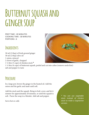# **Butternut squash and ginger soup**

prep time : 20 minutes cooking time : 30 minutes Portions : 6

#### **Ingredients**

30 ml (2 tbsp) of fresh ground ginger 30 ml (2 tbsp) olive oil 1 onion, minced 2 cloves of garlic, chopped 1 ¼ litre (5 cups) of chicken stock **\*** 1 ½ litre (6 cups) of butternut squash, peeled and cut into cubes (remove seeds first) salt and pepper to taste

#### **Procedure**

In a large pot, brown the ginger in the heated oil. Add the onion and the garlic and sauté until soft.

Add the stock and the squash. Bring to boil, cover, and let it simmer for approximately 20 minutes, or until the squash is soft. Puree the soup in a blender. Add salt and pepper.

Serve hot or cold.

*\* You can use vegetable stock instead of chicken stock to make a vegetarian version.*